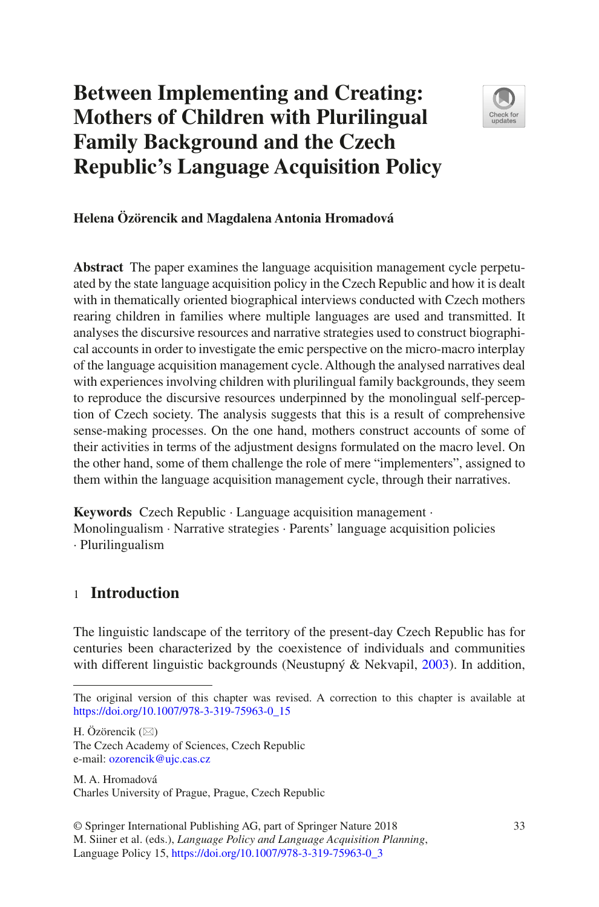# **Between Implementing and Creating: Mothers of Children with Plurilingual Family Background and the Czech Republic's Language Acquisition Policy**



## **Helena Özörencik and Magdalena Antonia Hromadová**

**Abstract** The paper examines the language acquisition management cycle perpetuated by the state language acquisition policy in the Czech Republic and how it is dealt with in thematically oriented biographical interviews conducted with Czech mothers rearing children in families where multiple languages are used and transmitted. It analyses the discursive resources and narrative strategies used to construct biographical accounts in order to investigate the emic perspective on the micro-macro interplay of the language acquisition management cycle. Although the analysed narratives deal with experiences involving children with plurilingual family backgrounds, they seem to reproduce the discursive resources underpinned by the monolingual self-perception of Czech society. The analysis suggests that this is a result of comprehensive sense-making processes. On the one hand, mothers construct accounts of some of their activities in terms of the adjustment designs formulated on the macro level. On the other hand, some of them challenge the role of mere "implementers", assigned to them within the language acquisition management cycle, through their narratives.

**Keywords** Czech Republic · Language acquisition management ·

Monolingualism · Narrative strategies · Parents' language acquisition policies · Plurilingualism

## 1 **Introduction**

The linguistic landscape of the territory of the present-day Czech Republic has for centuries been characterized by the coexistence of individuals and communities with different linguistic backgrounds (Neustupný & Nekvapil, [2003\)](#page-20-0). In addition,

H. Özörencik  $(\boxtimes)$ 

The Czech Academy of Sciences, Czech Republic e-mail: [ozorencik@ujc.cas.cz](mailto:ozorencik@ujc.cas.cz)

M. A. Hromadová Charles University of Prague, Prague, Czech Republic

© Springer International Publishing AG, part of Springer Nature 2018 33

M. Siiner et al. (eds.), *Language Policy and Language Acquisition Planning*, Language Policy 15, [https://doi.org/10.1007/978-3-319-75963-0\\_3](https://doi.org/10.1007/978-3-319-75963-0_3)

The original version of this chapter was revised. A correction to this chapter is available at [https://doi.org/10.1007/978-3-319-75963-0\\_15](https://doi.org/10.1007/978-3-319-75963-0_15)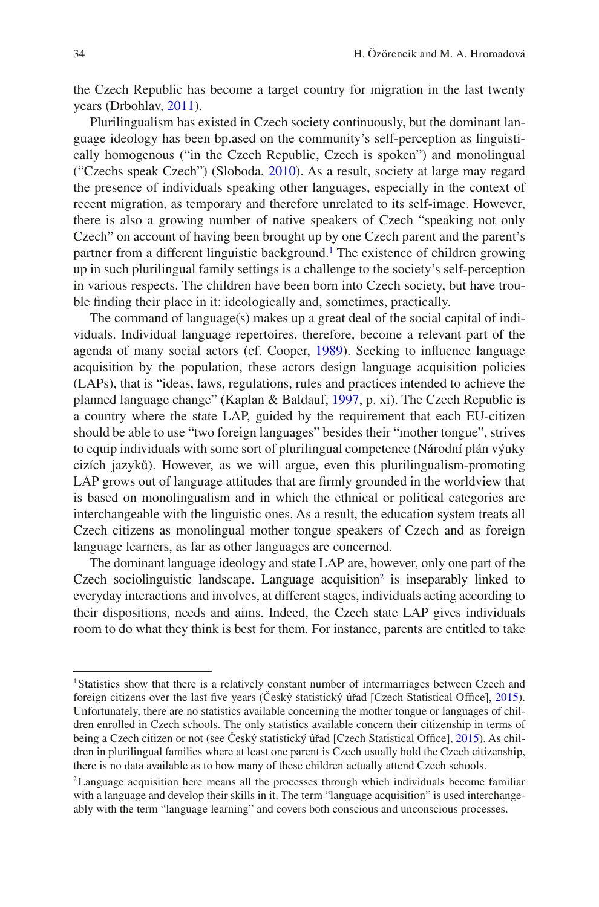the Czech Republic has become a target country for migration in the last twenty years (Drbohlav, [2011\)](#page-20-1).

Plurilingualism has existed in Czech society continuously, but the dominant language ideology has been bp.ased on the community's self-perception as linguistically homogenous ("in the Czech Republic, Czech is spoken") and monolingual ("Czechs speak Czech") (Sloboda, [2010](#page-21-0)). As a result, society at large may regard the presence of individuals speaking other languages, especially in the context of recent migration, as temporary and therefore unrelated to its self-image. However, there is also a growing number of native speakers of Czech "speaking not only Czech" on account of having been brought up by one Czech parent and the parent's partner from a different linguistic background.<sup>[1](#page-1-0)</sup> The existence of children growing up in such plurilingual family settings is a challenge to the society's self-perception in various respects. The children have been born into Czech society, but have trouble finding their place in it: ideologically and, sometimes, practically.

The command of language(s) makes up a great deal of the social capital of individuals. Individual language repertoires, therefore, become a relevant part of the agenda of many social actors (cf. Cooper, [1989\)](#page-20-2). Seeking to influence language acquisition by the population, these actors design language acquisition policies (LAPs), that is "ideas, laws, regulations, rules and practices intended to achieve the planned language change" (Kaplan & Baldauf, [1997,](#page-20-3) p. xi). The Czech Republic is a country where the state LAP, guided by the requirement that each EU-citizen should be able to use "two foreign languages" besides their "mother tongue", strives to equip individuals with some sort of plurilingual competence (Národní plán výuky cizích jazyků). However, as we will argue, even this plurilingualism-promoting LAP grows out of language attitudes that are firmly grounded in the worldview that is based on monolingualism and in which the ethnical or political categories are interchangeable with the linguistic ones. As a result, the education system treats all Czech citizens as monolingual mother tongue speakers of Czech and as foreign language learners, as far as other languages are concerned.

The dominant language ideology and state LAP are, however, only one part of the Czech sociolinguistic landscape. Language acquisition<sup>[2](#page-1-1)</sup> is inseparably linked to everyday interactions and involves, at different stages, individuals acting according to their dispositions, needs and aims. Indeed, the Czech state LAP gives individuals room to do what they think is best for them. For instance, parents are entitled to take

<span id="page-1-0"></span><sup>1</sup>Statistics show that there is a relatively constant number of intermarriages between Czech and foreign citizens over the last five years (Český statistický úřad [Czech Statistical Office], [2015\)](#page-20-4). Unfortunately, there are no statistics available concerning the mother tongue or languages of children enrolled in Czech schools. The only statistics available concern their citizenship in terms of being a Czech citizen or not (see Český statistický úřad [Czech Statistical Office], [2015\)](#page-20-4). As children in plurilingual families where at least one parent is Czech usually hold the Czech citizenship, there is no data available as to how many of these children actually attend Czech schools.

<span id="page-1-1"></span><sup>2</sup>Language acquisition here means all the processes through which individuals become familiar with a language and develop their skills in it. The term "language acquisition" is used interchangeably with the term "language learning" and covers both conscious and unconscious processes.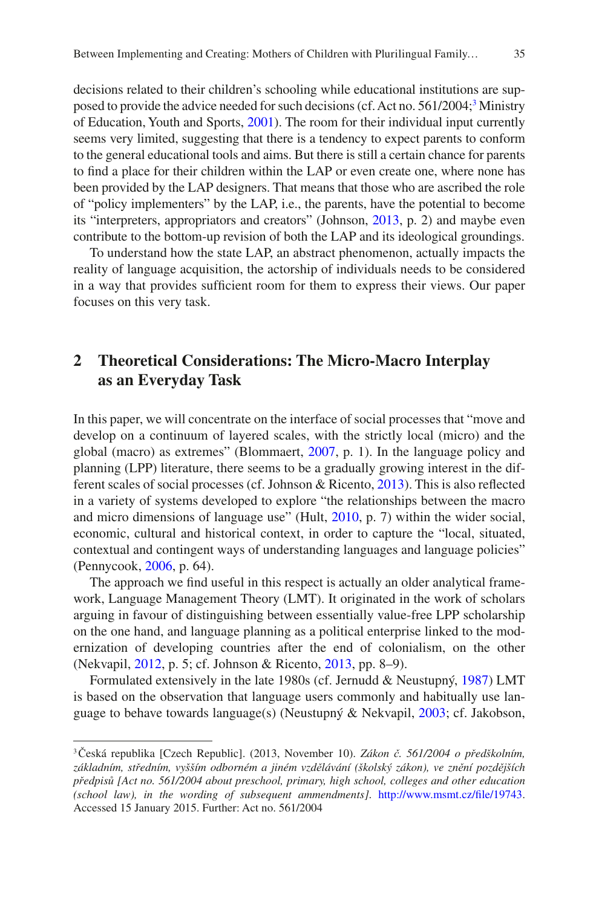decisions related to their children's schooling while educational institutions are sup-posed to provide the advice needed for such decisions (cf. Act no. 561/2004;<sup>[3](#page-2-0)</sup> Ministry of Education, Youth and Sports, [2001](#page-20-5)). The room for their individual input currently seems very limited, suggesting that there is a tendency to expect parents to conform to the general educational tools and aims. But there is still a certain chance for parents to find a place for their children within the LAP or even create one, where none has been provided by the LAP designers. That means that those who are ascribed the role of "policy implementers" by the LAP, i.e., the parents, have the potential to become its "interpreters, appropriators and creators" (Johnson, [2013](#page-20-6), p. 2) and maybe even contribute to the bottom-up revision of both the LAP and its ideological groundings.

To understand how the state LAP, an abstract phenomenon, actually impacts the reality of language acquisition, the actorship of individuals needs to be considered in a way that provides sufficient room for them to express their views. Our paper focuses on this very task.

# **2 Theoretical Considerations: The Micro-Macro Interplay as an Everyday Task**

In this paper, we will concentrate on the interface of social processes that "move and develop on a continuum of layered scales, with the strictly local (micro) and the global (macro) as extremes" (Blommaert, [2007](#page-20-7), p. 1). In the language policy and planning (LPP) literature, there seems to be a gradually growing interest in the different scales of social processes (cf. Johnson & Ricento, [2013\)](#page-20-8). This is also reflected in a variety of systems developed to explore "the relationships between the macro and micro dimensions of language use" (Hult, [2010](#page-20-9), p. 7) within the wider social, economic, cultural and historical context, in order to capture the "local, situated, contextual and contingent ways of understanding languages and language policies" (Pennycook, [2006](#page-21-1), p. 64).

The approach we find useful in this respect is actually an older analytical framework, Language Management Theory (LMT). It originated in the work of scholars arguing in favour of distinguishing between essentially value-free LPP scholarship on the one hand, and language planning as a political enterprise linked to the modernization of developing countries after the end of colonialism, on the other (Nekvapil, [2012,](#page-21-2) p. 5; cf. Johnson & Ricento, [2013](#page-20-8), pp. 8–9).

Formulated extensively in the late 1980s (cf. Jernudd & Neustupný, [1987\)](#page-20-10) LMT is based on the observation that language users commonly and habitually use language to behave towards language(s) (Neustupný & Nekvapil, [2003](#page-21-3); cf. Jakobson,

<span id="page-2-0"></span><sup>3</sup>Česká republika [Czech Republic]. (2013, November 10). *Zákon č. 561/2004 o předškolním, základním, středním, vyšším odborném a jiném vzdělávání (školský zákon), ve znění pozdějších předpisů [Act no. 561/2004 about preschool, primary, high school, colleges and other education (school law), in the wording of subsequent ammendments]*. <http://www.msmt.cz/file/19743>. Accessed 15 January 2015. Further: Act no. 561/2004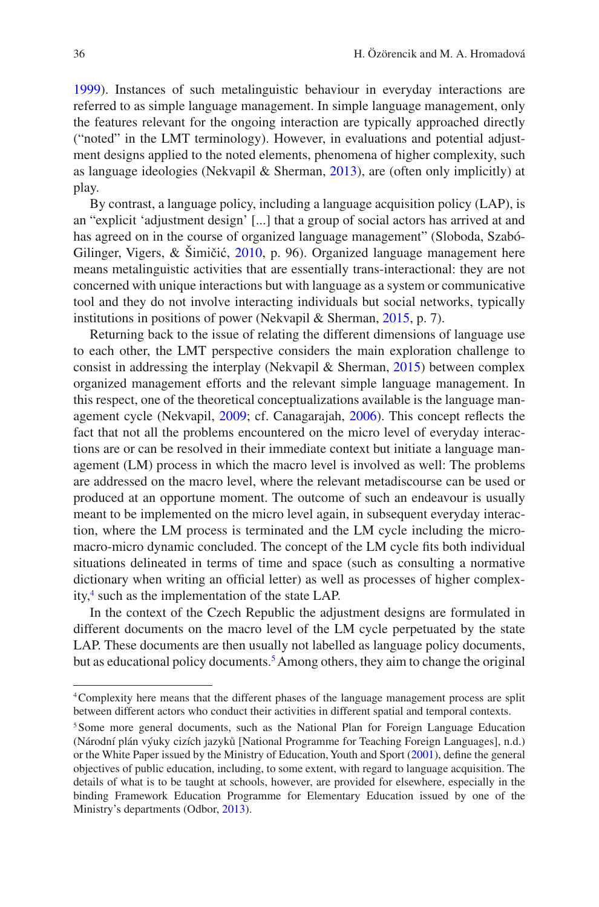[1999\)](#page-20-11). Instances of such metalinguistic behaviour in everyday interactions are referred to as simple language management. In simple language management, only the features relevant for the ongoing interaction are typically approached directly ("noted" in the LMT terminology). However, in evaluations and potential adjustment designs applied to the noted elements, phenomena of higher complexity, such as language ideologies (Nekvapil & Sherman, [2013](#page-21-4)), are (often only implicitly) at play.

By contrast, a language policy, including a language acquisition policy (LAP), is an "explicit 'adjustment design' [...] that a group of social actors has arrived at and has agreed on in the course of organized language management" (Sloboda, Szabó-Gilinger, Vigers, & Šimičić, [2010](#page-21-5), p. 96). Organized language management here means metalinguistic activities that are essentially trans-interactional: they are not concerned with unique interactions but with language as a system or communicative tool and they do not involve interacting individuals but social networks, typically institutions in positions of power (Nekvapil & Sherman, [2015,](#page-21-6) p. 7).

Returning back to the issue of relating the different dimensions of language use to each other, the LMT perspective considers the main exploration challenge to consist in addressing the interplay (Nekvapil & Sherman, [2015\)](#page-21-6) between complex organized management efforts and the relevant simple language management. In this respect, one of the theoretical conceptualizations available is the language management cycle (Nekvapil, [2009;](#page-21-7) cf. Canagarajah, [2006](#page-20-12)). This concept reflects the fact that not all the problems encountered on the micro level of everyday interactions are or can be resolved in their immediate context but initiate a language management (LM) process in which the macro level is involved as well: The problems are addressed on the macro level, where the relevant metadiscourse can be used or produced at an opportune moment. The outcome of such an endeavour is usually meant to be implemented on the micro level again, in subsequent everyday interaction, where the LM process is terminated and the LM cycle including the micromacro-micro dynamic concluded. The concept of the LM cycle fits both individual situations delineated in terms of time and space (such as consulting a normative dictionary when writing an official letter) as well as processes of higher complexity,<sup>4</sup> such as the implementation of the state LAP.

In the context of the Czech Republic the adjustment designs are formulated in different documents on the macro level of the LM cycle perpetuated by the state LAP. These documents are then usually not labelled as language policy documents, but as educational policy documents.<sup>5</sup> Among others, they aim to change the original

<span id="page-3-0"></span><sup>4</sup>Complexity here means that the different phases of the language management process are split between different actors who conduct their activities in different spatial and temporal contexts.

<span id="page-3-1"></span><sup>&</sup>lt;sup>5</sup>Some more general documents, such as the National Plan for Foreign Language Education (Národní plán výuky cizích jazyků [National Programme for Teaching Foreign Languages], n.d.) or the White Paper issued by the Ministry of Education, Youth and Sport ([2001\)](#page-20-5), define the general objectives of public education, including, to some extent, with regard to language acquisition. The details of what is to be taught at schools, however, are provided for elsewhere, especially in the binding Framework Education Programme for Elementary Education issued by one of the Ministry's departments (Odbor, [2013](#page-21-8)).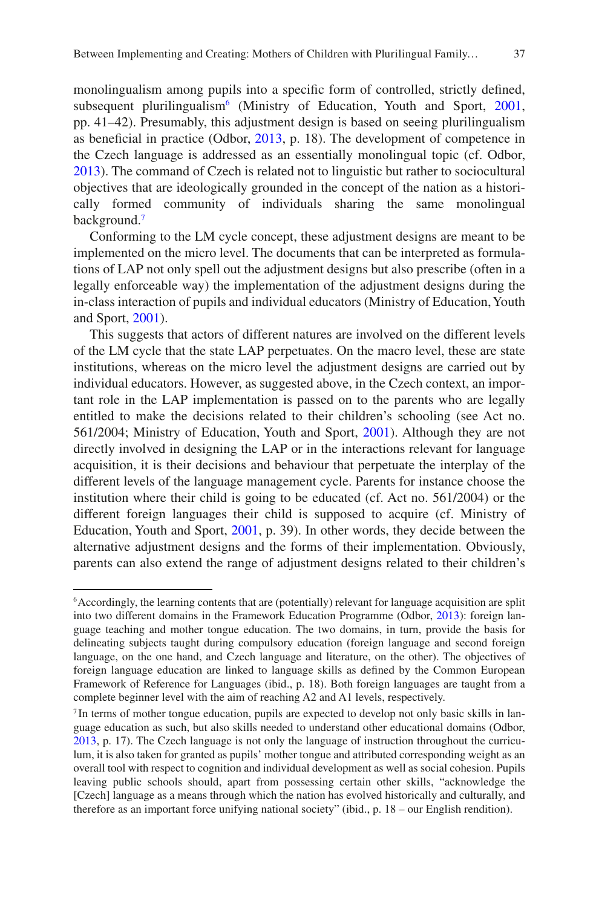monolingualism among pupils into a specific form of controlled, strictly defined, subsequent plurilingualism<sup>[6](#page-4-0)</sup> (Ministry of Education, Youth and Sport, [2001](#page-20-5), pp. 41–42). Presumably, this adjustment design is based on seeing plurilingualism as beneficial in practice (Odbor, [2013](#page-21-8), p. 18). The development of competence in the Czech language is addressed as an essentially monolingual topic (cf. Odbor, [2013\)](#page-21-8). The command of Czech is related not to linguistic but rather to sociocultural objectives that are ideologically grounded in the concept of the nation as a historically formed community of individuals sharing the same monolingual background.[7](#page-4-1)

Conforming to the LM cycle concept, these adjustment designs are meant to be implemented on the micro level. The documents that can be interpreted as formulations of LAP not only spell out the adjustment designs but also prescribe (often in a legally enforceable way) the implementation of the adjustment designs during the in-class interaction of pupils and individual educators (Ministry of Education, Youth and Sport, [2001](#page-20-5)).

This suggests that actors of different natures are involved on the different levels of the LM cycle that the state LAP perpetuates. On the macro level, these are state institutions, whereas on the micro level the adjustment designs are carried out by individual educators. However, as suggested above, in the Czech context, an important role in the LAP implementation is passed on to the parents who are legally entitled to make the decisions related to their children's schooling (see Act no. 561/2004; Ministry of Education, Youth and Sport, [2001](#page-20-5)). Although they are not directly involved in designing the LAP or in the interactions relevant for language acquisition, it is their decisions and behaviour that perpetuate the interplay of the different levels of the language management cycle. Parents for instance choose the institution where their child is going to be educated (cf. Act no. 561/2004) or the different foreign languages their child is supposed to acquire (cf. Ministry of Education, Youth and Sport, [2001,](#page-20-5) p. 39). In other words, they decide between the alternative adjustment designs and the forms of their implementation. Obviously, parents can also extend the range of adjustment designs related to their children's

<span id="page-4-0"></span><sup>6</sup>Accordingly, the learning contents that are (potentially) relevant for language acquisition are split into two different domains in the Framework Education Programme (Odbor, [2013](#page-21-8)): foreign language teaching and mother tongue education. The two domains, in turn, provide the basis for delineating subjects taught during compulsory education (foreign language and second foreign language, on the one hand, and Czech language and literature, on the other). The objectives of foreign language education are linked to language skills as defined by the Common European Framework of Reference for Languages (ibid., p. 18). Both foreign languages are taught from a complete beginner level with the aim of reaching A2 and A1 levels, respectively.

<span id="page-4-1"></span><sup>7</sup> In terms of mother tongue education, pupils are expected to develop not only basic skills in language education as such, but also skills needed to understand other educational domains (Odbor, [2013,](#page-21-8) p. 17). The Czech language is not only the language of instruction throughout the curriculum, it is also taken for granted as pupils' mother tongue and attributed corresponding weight as an overall tool with respect to cognition and individual development as well as social cohesion. Pupils leaving public schools should, apart from possessing certain other skills, "acknowledge the [Czech] language as a means through which the nation has evolved historically and culturally, and therefore as an important force unifying national society" (ibid., p. 18 – our English rendition).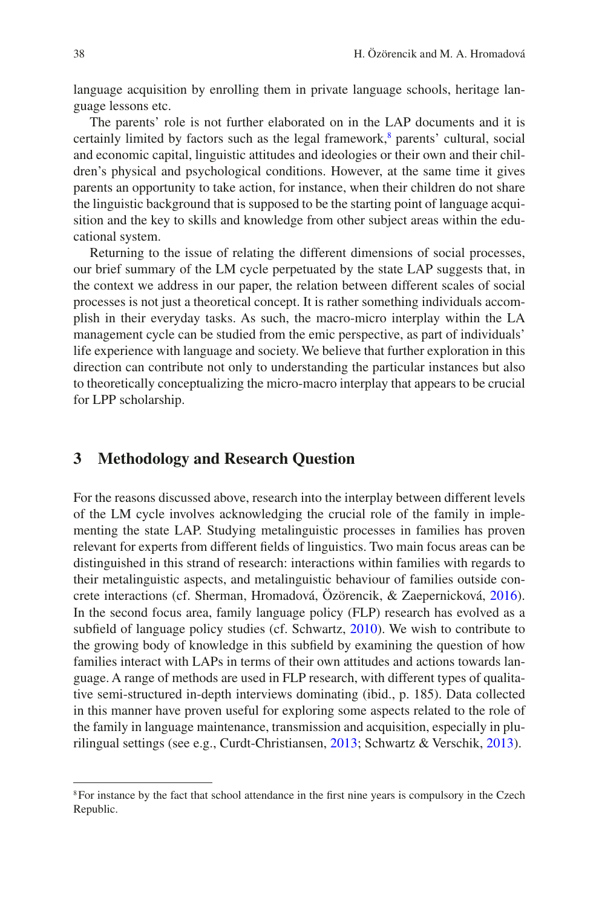language acquisition by enrolling them in private language schools, heritage language lessons etc.

The parents' role is not further elaborated on in the LAP documents and it is certainly limited by factors such as the legal framework,<sup>8</sup> parents' cultural, social and economic capital, linguistic attitudes and ideologies or their own and their children's physical and psychological conditions. However, at the same time it gives parents an opportunity to take action, for instance, when their children do not share the linguistic background that is supposed to be the starting point of language acquisition and the key to skills and knowledge from other subject areas within the educational system.

Returning to the issue of relating the different dimensions of social processes, our brief summary of the LM cycle perpetuated by the state LAP suggests that, in the context we address in our paper, the relation between different scales of social processes is not just a theoretical concept. It is rather something individuals accomplish in their everyday tasks. As such, the macro-micro interplay within the LA management cycle can be studied from the emic perspective, as part of individuals' life experience with language and society. We believe that further exploration in this direction can contribute not only to understanding the particular instances but also to theoretically conceptualizing the micro-macro interplay that appears to be crucial for LPP scholarship.

#### **3 Methodology and Research Question**

For the reasons discussed above, research into the interplay between different levels of the LM cycle involves acknowledging the crucial role of the family in implementing the state LAP. Studying metalinguistic processes in families has proven relevant for experts from different fields of linguistics. Two main focus areas can be distinguished in this strand of research: interactions within families with regards to their metalinguistic aspects, and metalinguistic behaviour of families outside concrete interactions (cf. Sherman, Hromadová, Özörencik, & Zaepernicková, [2016\)](#page-21-9). In the second focus area, family language policy (FLP) research has evolved as a subfield of language policy studies (cf. Schwartz, [2010\)](#page-21-10). We wish to contribute to the growing body of knowledge in this subfield by examining the question of how families interact with LAPs in terms of their own attitudes and actions towards language. A range of methods are used in FLP research, with different types of qualitative semi-structured in-depth interviews dominating (ibid., p. 185). Data collected in this manner have proven useful for exploring some aspects related to the role of the family in language maintenance, transmission and acquisition, especially in plurilingual settings (see e.g., Curdt-Christiansen, [2013](#page-20-13); Schwartz & Verschik, [2013](#page-21-11)).

<span id="page-5-0"></span><sup>&</sup>lt;sup>8</sup>For instance by the fact that school attendance in the first nine years is compulsory in the Czech Republic.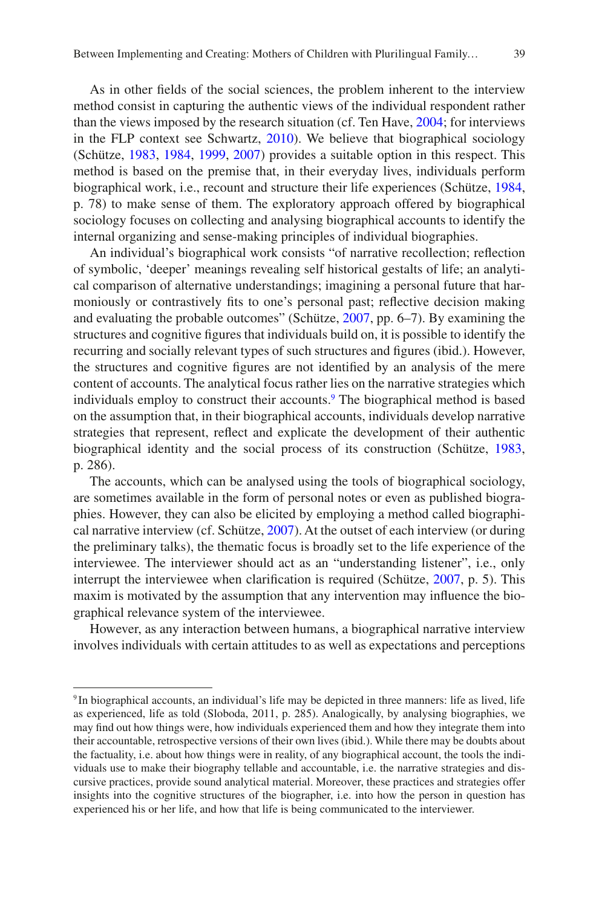As in other fields of the social sciences, the problem inherent to the interview method consist in capturing the authentic views of the individual respondent rather than the views imposed by the research situation (cf. Ten Have, [2004](#page-21-12); for interviews in the FLP context see Schwartz, [2010\)](#page-21-10). We believe that biographical sociology (Schütze, [1983](#page-21-13), [1984](#page-21-14), [1999,](#page-21-15) [2007](#page-21-16)) provides a suitable option in this respect. This method is based on the premise that, in their everyday lives, individuals perform biographical work, i.e., recount and structure their life experiences (Schütze, [1984](#page-21-14), p. 78) to make sense of them. The exploratory approach offered by biographical sociology focuses on collecting and analysing biographical accounts to identify the internal organizing and sense-making principles of individual biographies.

An individual's biographical work consists "of narrative recollection; reflection of symbolic, 'deeper' meanings revealing self historical gestalts of life; an analytical comparison of alternative understandings; imagining a personal future that harmoniously or contrastively fits to one's personal past; reflective decision making and evaluating the probable outcomes" (Schütze, [2007,](#page-21-16) pp. 6–7). By examining the structures and cognitive figures that individuals build on, it is possible to identify the recurring and socially relevant types of such structures and figures (ibid.). However, the structures and cognitive figures are not identified by an analysis of the mere content of accounts. The analytical focus rather lies on the narrative strategies which individuals employ to construct their accounts.<sup>[9](#page-6-0)</sup> The biographical method is based on the assumption that, in their biographical accounts, individuals develop narrative strategies that represent, reflect and explicate the development of their authentic biographical identity and the social process of its construction (Schütze, [1983,](#page-21-13) p. 286).

The accounts, which can be analysed using the tools of biographical sociology, are sometimes available in the form of personal notes or even as published biographies. However, they can also be elicited by employing a method called biographical narrative interview (cf. Schütze, [2007](#page-21-16)). At the outset of each interview (or during the preliminary talks), the thematic focus is broadly set to the life experience of the interviewee. The interviewer should act as an "understanding listener", i.e., only interrupt the interviewee when clarification is required (Schütze, [2007,](#page-21-16) p. 5). This maxim is motivated by the assumption that any intervention may influence the biographical relevance system of the interviewee.

However, as any interaction between humans, a biographical narrative interview involves individuals with certain attitudes to as well as expectations and perceptions

<span id="page-6-0"></span><sup>9</sup> In biographical accounts, an individual's life may be depicted in three manners: life as lived, life as experienced, life as told (Sloboda, 2011, p. 285). Analogically, by analysing biographies, we may find out how things were, how individuals experienced them and how they integrate them into their accountable, retrospective versions of their own lives (ibid.). While there may be doubts about the factuality, i.e. about how things were in reality, of any biographical account, the tools the individuals use to make their biography tellable and accountable, i.e. the narrative strategies and discursive practices, provide sound analytical material. Moreover, these practices and strategies offer insights into the cognitive structures of the biographer, i.e. into how the person in question has experienced his or her life, and how that life is being communicated to the interviewer.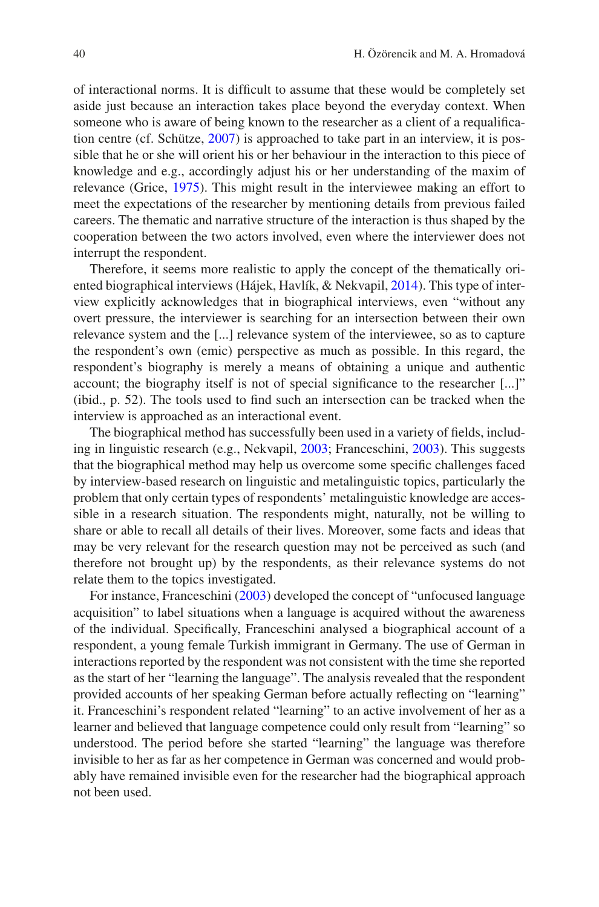aside just because an interaction takes place beyond the everyday context. When someone who is aware of being known to the researcher as a client of a requalification centre (cf. Schütze, [2007\)](#page-21-16) is approached to take part in an interview, it is possible that he or she will orient his or her behaviour in the interaction to this piece of knowledge and e.g., accordingly adjust his or her understanding of the maxim of relevance (Grice, [1975\)](#page-20-14). This might result in the interviewee making an effort to meet the expectations of the researcher by mentioning details from previous failed careers. The thematic and narrative structure of the interaction is thus shaped by the cooperation between the two actors involved, even where the interviewer does not interrupt the respondent.

Therefore, it seems more realistic to apply the concept of the thematically oriented biographical interviews (Hájek, Havlík, & Nekvapil, [2014\)](#page-20-15). This type of interview explicitly acknowledges that in biographical interviews, even "without any overt pressure, the interviewer is searching for an intersection between their own relevance system and the [...] relevance system of the interviewee, so as to capture the respondent's own (emic) perspective as much as possible. In this regard, the respondent's biography is merely a means of obtaining a unique and authentic account; the biography itself is not of special significance to the researcher [...]" (ibid., p. 52). The tools used to find such an intersection can be tracked when the interview is approached as an interactional event.

The biographical method has successfully been used in a variety of fields, including in linguistic research (e.g., Nekvapil, [2003;](#page-20-0) Franceschini, [2003\)](#page-20-16). This suggests that the biographical method may help us overcome some specific challenges faced by interview-based research on linguistic and metalinguistic topics, particularly the problem that only certain types of respondents' metalinguistic knowledge are accessible in a research situation. The respondents might, naturally, not be willing to share or able to recall all details of their lives. Moreover, some facts and ideas that may be very relevant for the research question may not be perceived as such (and therefore not brought up) by the respondents, as their relevance systems do not relate them to the topics investigated.

For instance, Franceschini ([2003\)](#page-20-16) developed the concept of "unfocused language acquisition" to label situations when a language is acquired without the awareness of the individual. Specifically, Franceschini analysed a biographical account of a respondent, a young female Turkish immigrant in Germany. The use of German in interactions reported by the respondent was not consistent with the time she reported as the start of her "learning the language". The analysis revealed that the respondent provided accounts of her speaking German before actually reflecting on "learning" it. Franceschini's respondent related "learning" to an active involvement of her as a learner and believed that language competence could only result from "learning" so understood. The period before she started "learning" the language was therefore invisible to her as far as her competence in German was concerned and would probably have remained invisible even for the researcher had the biographical approach not been used.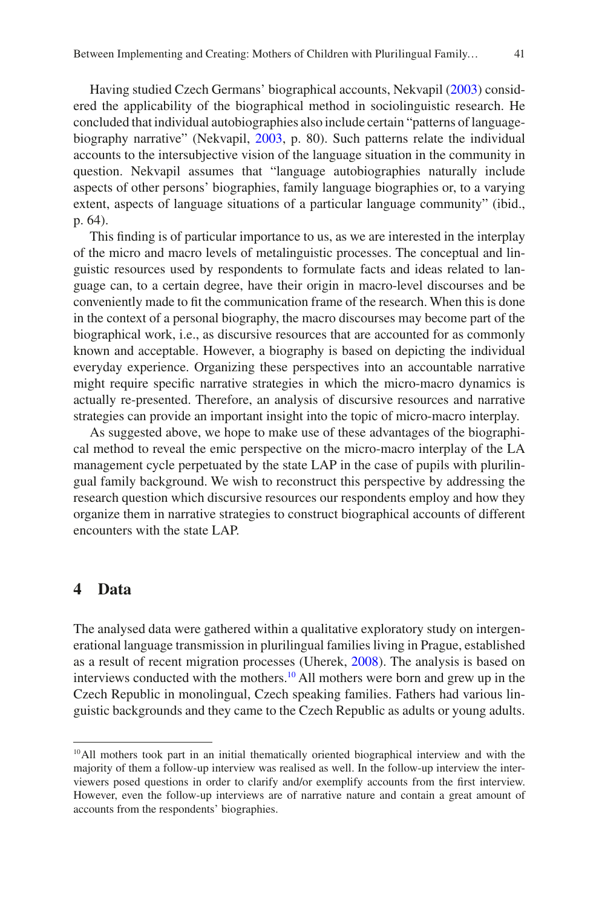Having studied Czech Germans' biographical accounts, Nekvapil ([2003\)](#page-20-0) considered the applicability of the biographical method in sociolinguistic research. He concluded that individual autobiographies also include certain "patterns of languagebiography narrative" (Nekvapil, [2003](#page-20-0), p. 80). Such patterns relate the individual accounts to the intersubjective vision of the language situation in the community in question. Nekvapil assumes that "language autobiographies naturally include aspects of other persons' biographies, family language biographies or, to a varying extent, aspects of language situations of a particular language community" (ibid., p. 64).

This finding is of particular importance to us, as we are interested in the interplay of the micro and macro levels of metalinguistic processes. The conceptual and linguistic resources used by respondents to formulate facts and ideas related to language can, to a certain degree, have their origin in macro-level discourses and be conveniently made to fit the communication frame of the research. When this is done in the context of a personal biography, the macro discourses may become part of the biographical work, i.e., as discursive resources that are accounted for as commonly known and acceptable. However, a biography is based on depicting the individual everyday experience. Organizing these perspectives into an accountable narrative might require specific narrative strategies in which the micro-macro dynamics is actually re-presented. Therefore, an analysis of discursive resources and narrative strategies can provide an important insight into the topic of micro-macro interplay.

As suggested above, we hope to make use of these advantages of the biographical method to reveal the emic perspective on the micro-macro interplay of the LA management cycle perpetuated by the state LAP in the case of pupils with plurilingual family background. We wish to reconstruct this perspective by addressing the research question which discursive resources our respondents employ and how they organize them in narrative strategies to construct biographical accounts of different encounters with the state LAP.

#### **4 Data**

The analysed data were gathered within a qualitative exploratory study on intergenerational language transmission in plurilingual families living in Prague, established as a result of recent migration processes (Uherek, [2008\)](#page-21-17). The analysis is based on interviews conducted with the mothers.[10](#page-8-0) All mothers were born and grew up in the Czech Republic in monolingual, Czech speaking families. Fathers had various linguistic backgrounds and they came to the Czech Republic as adults or young adults.

<span id="page-8-0"></span><sup>&</sup>lt;sup>10</sup>All mothers took part in an initial thematically oriented biographical interview and with the majority of them a follow-up interview was realised as well. In the follow-up interview the interviewers posed questions in order to clarify and/or exemplify accounts from the first interview. However, even the follow-up interviews are of narrative nature and contain a great amount of accounts from the respondents' biographies.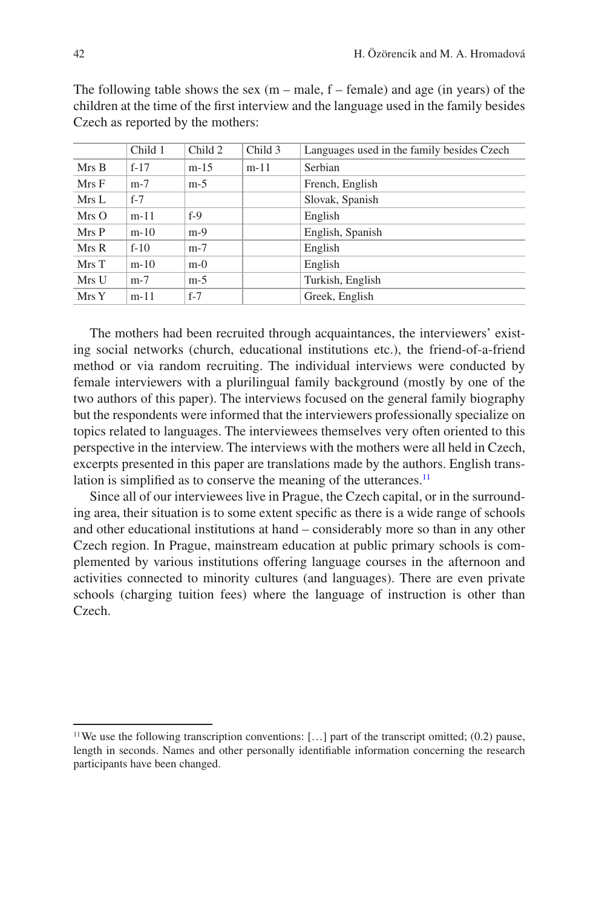|       | Child 1 | Child 2 | Child 3 | Languages used in the family besides Czech |
|-------|---------|---------|---------|--------------------------------------------|
| Mrs B | $f-17$  | $m-15$  | $m-11$  | Serbian                                    |
| Mrs F | $m-7$   | $m-5$   |         | French, English                            |
| Mrs L | $f-7$   |         |         | Slovak, Spanish                            |
| Mrs O | $m-11$  | $f-9$   |         | English                                    |
| Mrs P | $m-10$  | $m-9$   |         | English, Spanish                           |
| Mrs R | $f-10$  | $m-7$   |         | English                                    |
| Mrs T | $m-10$  | $m-0$   |         | English                                    |
| Mrs U | $m-7$   | $m-5$   |         | Turkish, English                           |
| Mrs Y | $m-11$  | $f-7$   |         | Greek, English                             |
|       |         |         |         |                                            |

The following table shows the sex  $(m - male, f - female)$  and age  $(in years)$  of the children at the time of the first interview and the language used in the family besides Czech as reported by the mothers:

The mothers had been recruited through acquaintances, the interviewers' existing social networks (church, educational institutions etc.), the friend-of-a-friend method or via random recruiting. The individual interviews were conducted by female interviewers with a plurilingual family background (mostly by one of the two authors of this paper). The interviews focused on the general family biography but the respondents were informed that the interviewers professionally specialize on topics related to languages. The interviewees themselves very often oriented to this perspective in the interview. The interviews with the mothers were all held in Czech, excerpts presented in this paper are translations made by the authors. English translation is simplified as to conserve the meaning of the utterances.<sup>11</sup>

Since all of our interviewees live in Prague, the Czech capital, or in the surrounding area, their situation is to some extent specific as there is a wide range of schools and other educational institutions at hand – considerably more so than in any other Czech region. In Prague, mainstream education at public primary schools is complemented by various institutions offering language courses in the afternoon and activities connected to minority cultures (and languages). There are even private schools (charging tuition fees) where the language of instruction is other than Czech.

<span id="page-9-0"></span><sup>&</sup>lt;sup>11</sup>We use the following transcription conventions:  $[...]$  part of the transcript omitted;  $(0.2)$  pause, length in seconds. Names and other personally identifiable information concerning the research participants have been changed.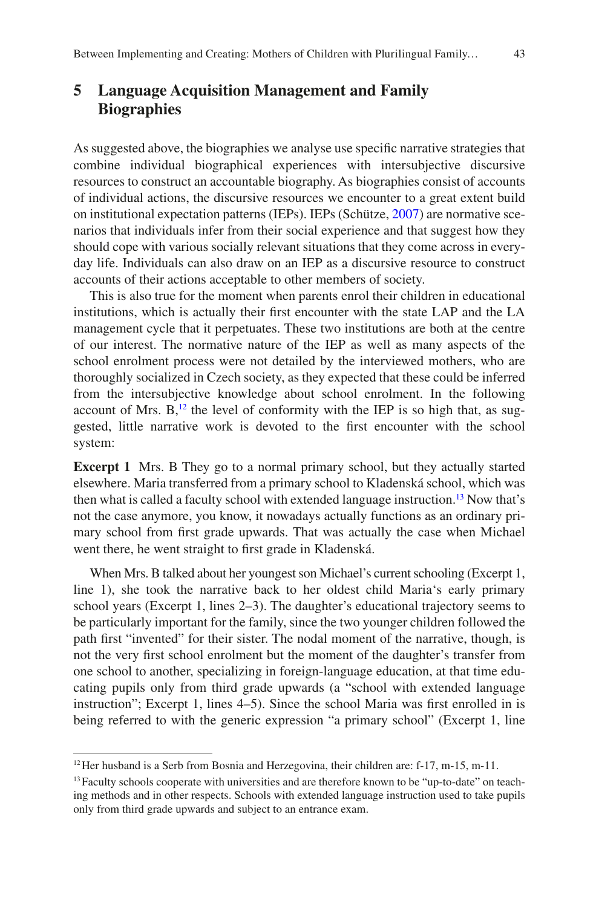# **5 Language Acquisition Management and Family Biographies**

As suggested above, the biographies we analyse use specific narrative strategies that combine individual biographical experiences with intersubjective discursive resources to construct an accountable biography. As biographies consist of accounts of individual actions, the discursive resources we encounter to a great extent build on institutional expectation patterns (IEPs). IEPs (Schütze, [2007\)](#page-21-16) are normative scenarios that individuals infer from their social experience and that suggest how they should cope with various socially relevant situations that they come across in everyday life. Individuals can also draw on an IEP as a discursive resource to construct accounts of their actions acceptable to other members of society.

This is also true for the moment when parents enrol their children in educational institutions, which is actually their first encounter with the state LAP and the LA management cycle that it perpetuates. These two institutions are both at the centre of our interest. The normative nature of the IEP as well as many aspects of the school enrolment process were not detailed by the interviewed mothers, who are thoroughly socialized in Czech society, as they expected that these could be inferred from the intersubjective knowledge about school enrolment. In the following account of Mrs.  $B<sub>1</sub><sup>12</sup>$  $B<sub>1</sub><sup>12</sup>$  $B<sub>1</sub><sup>12</sup>$  the level of conformity with the IEP is so high that, as suggested, little narrative work is devoted to the first encounter with the school system:

**Excerpt 1** Mrs. B They go to a normal primary school, but they actually started elsewhere. Maria transferred from a primary school to Kladenská school, which was then what is called a faculty school with extended language instruction.<sup>13</sup> Now that's not the case anymore, you know, it nowadays actually functions as an ordinary primary school from first grade upwards. That was actually the case when Michael went there, he went straight to first grade in Kladenská.

When Mrs. B talked about her youngest son Michael's current schooling (Excerpt 1, line 1), she took the narrative back to her oldest child Maria's early primary school years (Excerpt 1, lines 2–3). The daughter's educational trajectory seems to be particularly important for the family, since the two younger children followed the path first "invented" for their sister. The nodal moment of the narrative, though, is not the very first school enrolment but the moment of the daughter's transfer from one school to another, specializing in foreign-language education, at that time educating pupils only from third grade upwards (a "school with extended language instruction"; Excerpt 1, lines 4–5). Since the school Maria was first enrolled in is being referred to with the generic expression "a primary school" (Excerpt 1, line

<span id="page-10-0"></span><sup>&</sup>lt;sup>12</sup> Her husband is a Serb from Bosnia and Herzegovina, their children are: f-17, m-15, m-11.

<span id="page-10-1"></span><sup>&</sup>lt;sup>13</sup> Faculty schools cooperate with universities and are therefore known to be "up-to-date" on teaching methods and in other respects. Schools with extended language instruction used to take pupils only from third grade upwards and subject to an entrance exam.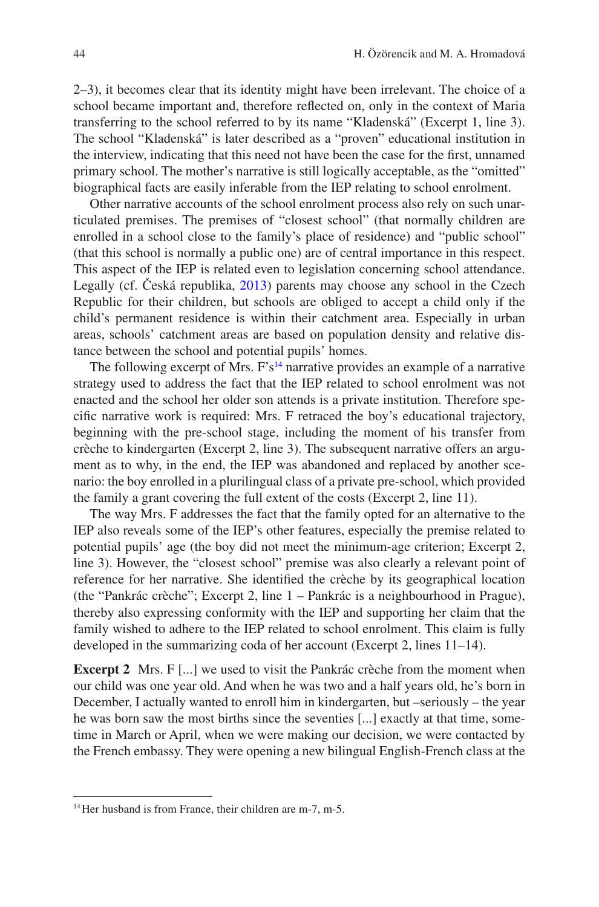2–3), it becomes clear that its identity might have been irrelevant. The choice of a school became important and, therefore reflected on, only in the context of Maria transferring to the school referred to by its name "Kladenská" (Excerpt 1, line 3). The school "Kladenská" is later described as a "proven" educational institution in the interview, indicating that this need not have been the case for the first, unnamed primary school. The mother's narrative is still logically acceptable, as the "omitted" biographical facts are easily inferable from the IEP relating to school enrolment.

Other narrative accounts of the school enrolment process also rely on such unarticulated premises. The premises of "closest school" (that normally children are enrolled in a school close to the family's place of residence) and "public school" (that this school is normally a public one) are of central importance in this respect. This aspect of the IEP is related even to legislation concerning school attendance. Legally (cf. Česká republika, [2013\)](#page-20-17) parents may choose any school in the Czech Republic for their children, but schools are obliged to accept a child only if the child's permanent residence is within their catchment area. Especially in urban areas, schools' catchment areas are based on population density and relative distance between the school and potential pupils' homes.

The following excerpt of Mrs.  $F's<sup>14</sup>$  narrative provides an example of a narrative strategy used to address the fact that the IEP related to school enrolment was not enacted and the school her older son attends is a private institution. Therefore specific narrative work is required: Mrs. F retraced the boy's educational trajectory, beginning with the pre-school stage, including the moment of his transfer from crèche to kindergarten (Excerpt 2, line 3). The subsequent narrative offers an argument as to why, in the end, the IEP was abandoned and replaced by another scenario: the boy enrolled in a plurilingual class of a private pre-school, which provided the family a grant covering the full extent of the costs (Excerpt 2, line 11).

The way Mrs. F addresses the fact that the family opted for an alternative to the IEP also reveals some of the IEP's other features, especially the premise related to potential pupils' age (the boy did not meet the minimum-age criterion; Excerpt 2, line 3). However, the "closest school" premise was also clearly a relevant point of reference for her narrative. She identified the crèche by its geographical location (the "Pankrác crèche"; Excerpt 2, line 1 – Pankrác is a neighbourhood in Prague), thereby also expressing conformity with the IEP and supporting her claim that the family wished to adhere to the IEP related to school enrolment. This claim is fully developed in the summarizing coda of her account (Excerpt 2, lines 11–14).

**Excerpt 2** Mrs. F [...] we used to visit the Pankrác crèche from the moment when our child was one year old. And when he was two and a half years old, he's born in December, I actually wanted to enroll him in kindergarten, but –seriously – the year he was born saw the most births since the seventies [...] exactly at that time, sometime in March or April, when we were making our decision, we were contacted by the French embassy. They were opening a new bilingual English-French class at the

<span id="page-11-0"></span><sup>&</sup>lt;sup>14</sup> Her husband is from France, their children are m-7, m-5.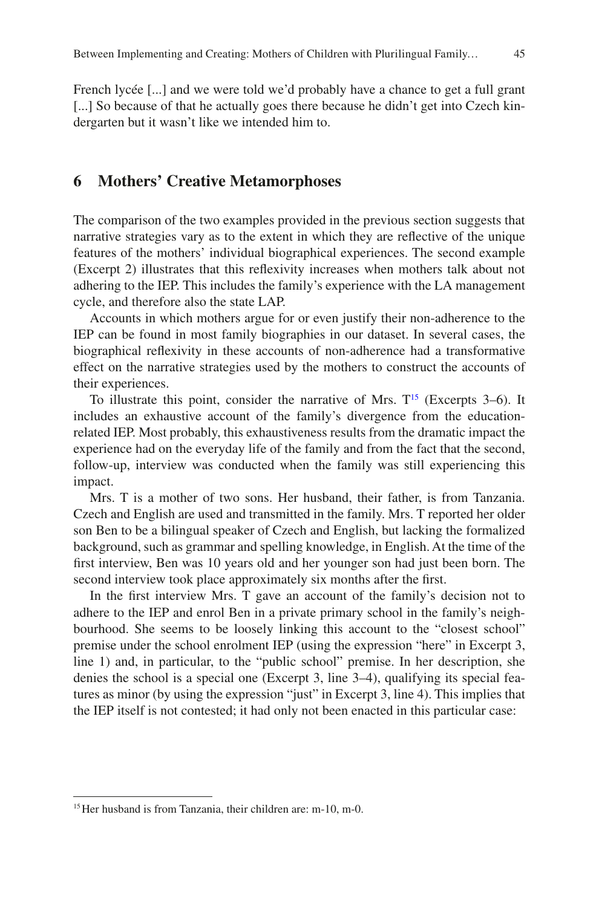French lycée [...] and we were told we'd probably have a chance to get a full grant [...] So because of that he actually goes there because he didn't get into Czech kindergarten but it wasn't like we intended him to.

#### **6 Mothers' Creative Metamorphoses**

The comparison of the two examples provided in the previous section suggests that narrative strategies vary as to the extent in which they are reflective of the unique features of the mothers' individual biographical experiences. The second example (Excerpt 2) illustrates that this reflexivity increases when mothers talk about not adhering to the IEP. This includes the family's experience with the LA management cycle, and therefore also the state LAP.

Accounts in which mothers argue for or even justify their non-adherence to the IEP can be found in most family biographies in our dataset. In several cases, the biographical reflexivity in these accounts of non-adherence had a transformative effect on the narrative strategies used by the mothers to construct the accounts of their experiences.

To illustrate this point, consider the narrative of Mrs.  $T^{15}$  (Excerpts 3–6). It includes an exhaustive account of the family's divergence from the educationrelated IEP. Most probably, this exhaustiveness results from the dramatic impact the experience had on the everyday life of the family and from the fact that the second, follow-up, interview was conducted when the family was still experiencing this impact.

Mrs. T is a mother of two sons. Her husband, their father, is from Tanzania. Czech and English are used and transmitted in the family. Mrs. T reported her older son Ben to be a bilingual speaker of Czech and English, but lacking the formalized background, such as grammar and spelling knowledge, in English. At the time of the first interview, Ben was 10 years old and her younger son had just been born. The second interview took place approximately six months after the first.

In the first interview Mrs. T gave an account of the family's decision not to adhere to the IEP and enrol Ben in a private primary school in the family's neighbourhood. She seems to be loosely linking this account to the "closest school" premise under the school enrolment IEP (using the expression "here" in Excerpt 3, line 1) and, in particular, to the "public school" premise. In her description, she denies the school is a special one (Excerpt 3, line 3–4), qualifying its special features as minor (by using the expression "just" in Excerpt 3, line 4). This implies that the IEP itself is not contested; it had only not been enacted in this particular case:

<span id="page-12-0"></span><sup>&</sup>lt;sup>15</sup> Her husband is from Tanzania, their children are: m-10, m-0.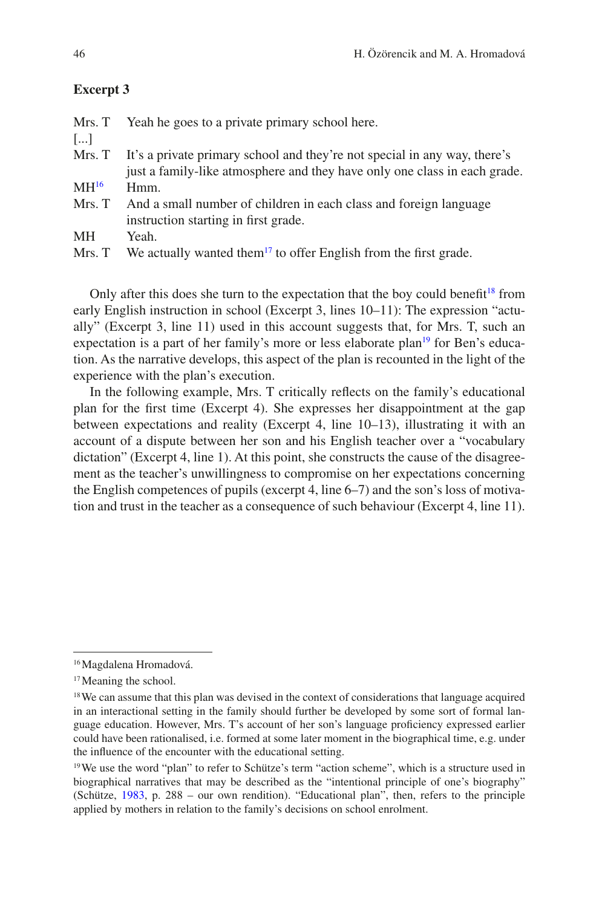#### **Excerpt 3**

| Mrs. T                | Yeah he goes to a private primary school here.                               |  |  |  |  |
|-----------------------|------------------------------------------------------------------------------|--|--|--|--|
| $\left[\ldots\right]$ |                                                                              |  |  |  |  |
| Mrs. T                | It's a private primary school and they're not special in any way, there's    |  |  |  |  |
|                       | just a family-like atmosphere and they have only one class in each grade.    |  |  |  |  |
| MH <sup>16</sup>      | Hmm.                                                                         |  |  |  |  |
| Mrs. T                | And a small number of children in each class and foreign language            |  |  |  |  |
|                       | instruction starting in first grade.                                         |  |  |  |  |
| МH                    | Yeah.                                                                        |  |  |  |  |
| Mrs. T                | We actually wanted them <sup>17</sup> to offer English from the first grade. |  |  |  |  |

Only after this does she turn to the expectation that the boy could benefit<sup>18</sup> from early English instruction in school (Excerpt 3, lines 10–11): The expression "actually" (Excerpt 3, line 11) used in this account suggests that, for Mrs. T, such an expectation is a part of her family's more or less elaborate plan<sup>19</sup> for Ben's education. As the narrative develops, this aspect of the plan is recounted in the light of the experience with the plan's execution.

In the following example, Mrs. T critically reflects on the family's educational plan for the first time (Excerpt 4). She expresses her disappointment at the gap between expectations and reality (Excerpt 4, line 10–13), illustrating it with an account of a dispute between her son and his English teacher over a "vocabulary dictation" (Excerpt 4, line 1). At this point, she constructs the cause of the disagreement as the teacher's unwillingness to compromise on her expectations concerning the English competences of pupils (excerpt 4, line 6–7) and the son's loss of motivation and trust in the teacher as a consequence of such behaviour (Excerpt 4, line 11).

<span id="page-13-0"></span><sup>&</sup>lt;sup>16</sup> Magdalena Hromadová.

<span id="page-13-1"></span><sup>&</sup>lt;sup>17</sup> Meaning the school.

<span id="page-13-2"></span><sup>&</sup>lt;sup>18</sup>We can assume that this plan was devised in the context of considerations that language acquired in an interactional setting in the family should further be developed by some sort of formal language education. However, Mrs. T's account of her son's language proficiency expressed earlier could have been rationalised, i.e. formed at some later moment in the biographical time, e.g. under the influence of the encounter with the educational setting.

<span id="page-13-3"></span><sup>&</sup>lt;sup>19</sup>We use the word "plan" to refer to Schütze's term "action scheme", which is a structure used in biographical narratives that may be described as the "intentional principle of one's biography" (Schütze, [1983](#page-21-13), p. 288 – our own rendition). "Educational plan", then, refers to the principle applied by mothers in relation to the family's decisions on school enrolment.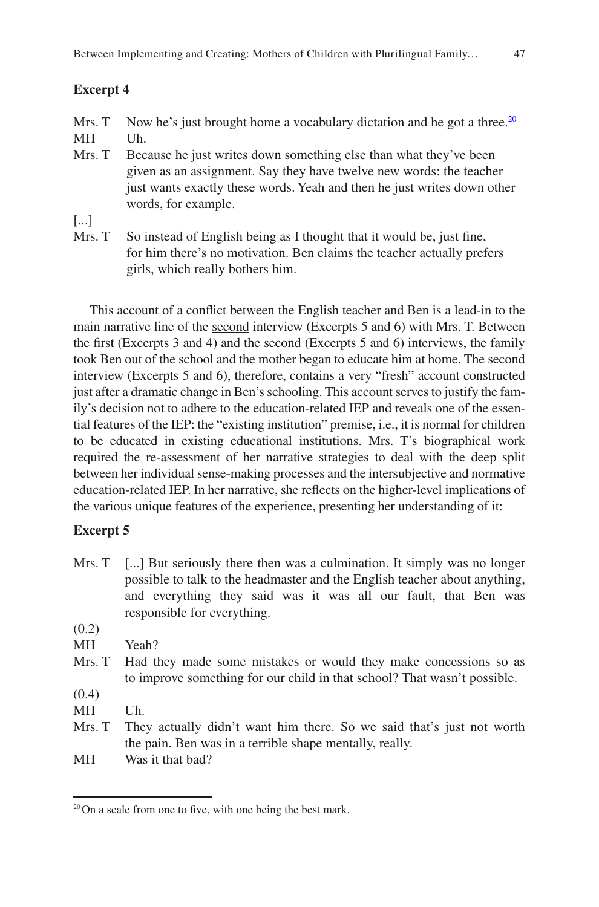#### **Excerpt 4**

- Mrs. T Now he's just brought home a vocabulary dictation and he got a three.<sup>[20](#page-14-0)</sup> MH Uh.
- Mrs. T Because he just writes down something else than what they've been given as an assignment. Say they have twelve new words: the teacher just wants exactly these words. Yeah and then he just writes down other words, for example.
- [...]
- Mrs. T So instead of English being as I thought that it would be, just fine, for him there's no motivation. Ben claims the teacher actually prefers girls, which really bothers him.

This account of a conflict between the English teacher and Ben is a lead-in to the main narrative line of the second interview (Excerpts 5 and 6) with Mrs. T. Between the first (Excerpts 3 and 4) and the second (Excerpts 5 and 6) interviews, the family took Ben out of the school and the mother began to educate him at home. The second interview (Excerpts 5 and 6), therefore, contains a very "fresh" account constructed just after a dramatic change in Ben's schooling. This account serves to justify the family's decision not to adhere to the education-related IEP and reveals one of the essential features of the IEP: the "existing institution" premise, i.e., it is normal for children to be educated in existing educational institutions. Mrs. T's biographical work required the re-assessment of her narrative strategies to deal with the deep split between her individual sense-making processes and the intersubjective and normative education-related IEP. In her narrative, she reflects on the higher-level implications of the various unique features of the experience, presenting her understanding of it:

#### **Excerpt 5**

Mrs. T [...] But seriously there then was a culmination. It simply was no longer possible to talk to the headmaster and the English teacher about anything, and everything they said was it was all our fault, that Ben was responsible for everything.

 $(0.2)$ 

- MH Yeah?
- Mrs. T Had they made some mistakes or would they make concessions so as to improve something for our child in that school? That wasn't possible.

(0.4)

MH Uh.

- Mrs. T They actually didn't want him there. So we said that's just not worth the pain. Ben was in a terrible shape mentally, really.
- MH Was it that bad?

<span id="page-14-0"></span><sup>20</sup>On a scale from one to five, with one being the best mark.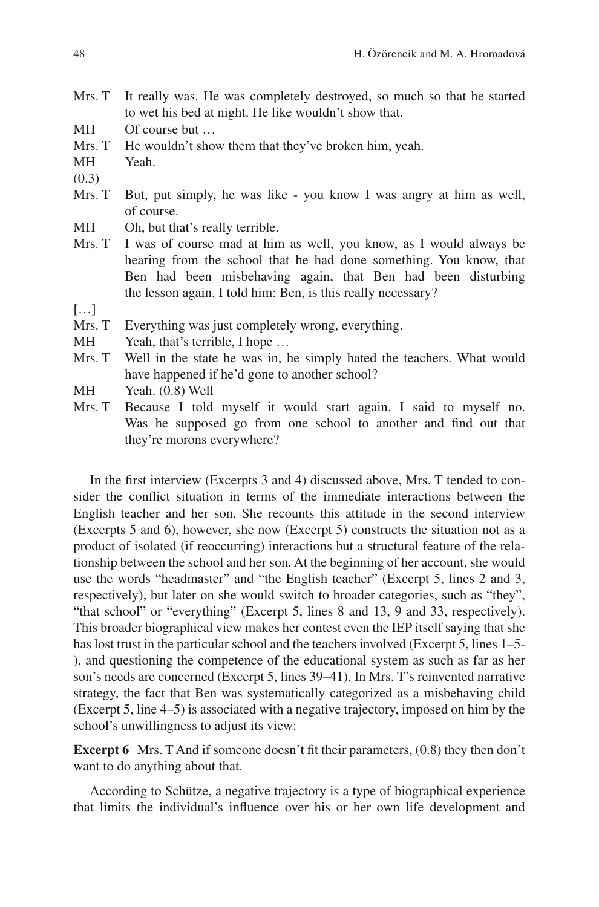- Mrs. T It really was. He was completely destroyed, so much so that he started to wet his bed at night. He like wouldn't show that.
- MH Of course but …
- Mrs. T He wouldn't show them that they've broken him, yeah.
- MH Yeah.
- $(0.3)$
- Mrs. T But, put simply, he was like you know I was angry at him as well, of course.
- MH Oh, but that's really terrible.
- Mrs. T I was of course mad at him as well, you know, as I would always be hearing from the school that he had done something. You know, that Ben had been misbehaving again, that Ben had been disturbing the lesson again. I told him: Ben, is this really necessary?
- […]
- Mrs. T Everything was just completely wrong, everything.
- MH Yeah, that's terrible, I hope ...
- Mrs. T Well in the state he was in, he simply hated the teachers. What would have happened if he'd gone to another school?
- MH Yeah. (0.8) Well
- Mrs. T Because I told myself it would start again. I said to myself no. Was he supposed go from one school to another and find out that they're morons everywhere?

In the first interview (Excerpts 3 and 4) discussed above, Mrs. T tended to consider the conflict situation in terms of the immediate interactions between the English teacher and her son. She recounts this attitude in the second interview (Excerpts 5 and 6), however, she now (Excerpt 5) constructs the situation not as a product of isolated (if reoccurring) interactions but a structural feature of the relationship between the school and her son. At the beginning of her account, she would use the words "headmaster" and "the English teacher" (Excerpt 5, lines 2 and 3, respectively), but later on she would switch to broader categories, such as "they", "that school" or "everything" (Excerpt 5, lines 8 and 13, 9 and 33, respectively). This broader biographical view makes her contest even the IEP itself saying that she has lost trust in the particular school and the teachers involved (Excerpt 5, lines 1–5- ), and questioning the competence of the educational system as such as far as her son's needs are concerned (Excerpt 5, lines 39–41). In Mrs. T's reinvented narrative strategy, the fact that Ben was systematically categorized as a misbehaving child (Excerpt 5, line 4–5) is associated with a negative trajectory, imposed on him by the school's unwillingness to adjust its view:

**Excerpt 6** Mrs. T And if someone doesn't fit their parameters, (0.8) they then don't want to do anything about that.

According to Schütze, a negative trajectory is a type of biographical experience that limits the individual's influence over his or her own life development and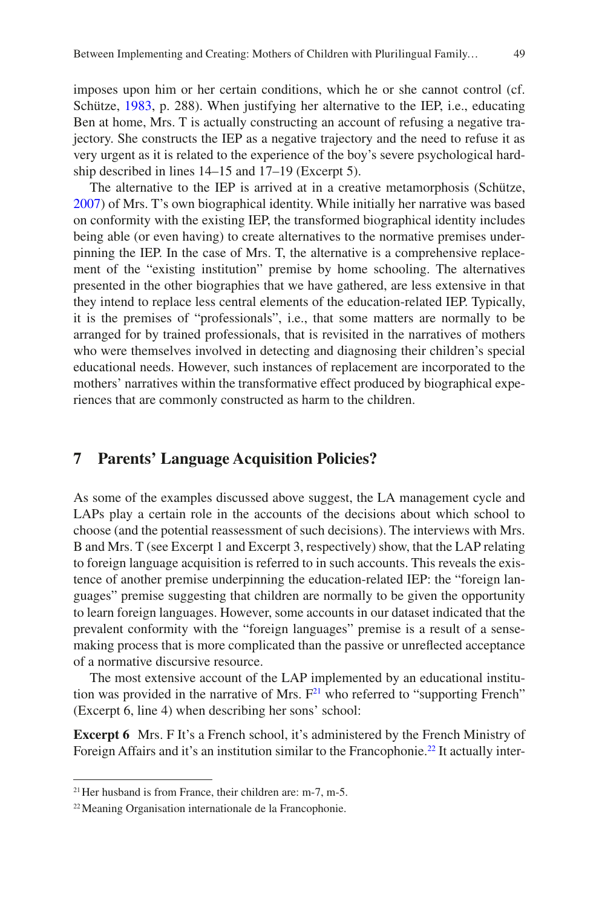imposes upon him or her certain conditions, which he or she cannot control (cf. Schütze, [1983](#page-21-13), p. 288). When justifying her alternative to the IEP, i.e., educating Ben at home, Mrs. T is actually constructing an account of refusing a negative trajectory. She constructs the IEP as a negative trajectory and the need to refuse it as very urgent as it is related to the experience of the boy's severe psychological hardship described in lines 14–15 and 17–19 (Excerpt 5).

The alternative to the IEP is arrived at in a creative metamorphosis (Schütze, [2007\)](#page-21-16) of Mrs. T's own biographical identity. While initially her narrative was based on conformity with the existing IEP, the transformed biographical identity includes being able (or even having) to create alternatives to the normative premises underpinning the IEP. In the case of Mrs. T, the alternative is a comprehensive replacement of the "existing institution" premise by home schooling. The alternatives presented in the other biographies that we have gathered, are less extensive in that they intend to replace less central elements of the education-related IEP. Typically, it is the premises of "professionals", i.e., that some matters are normally to be arranged for by trained professionals, that is revisited in the narratives of mothers who were themselves involved in detecting and diagnosing their children's special educational needs. However, such instances of replacement are incorporated to the mothers' narratives within the transformative effect produced by biographical experiences that are commonly constructed as harm to the children.

## **7 Parents' Language Acquisition Policies?**

As some of the examples discussed above suggest, the LA management cycle and LAPs play a certain role in the accounts of the decisions about which school to choose (and the potential reassessment of such decisions). The interviews with Mrs. B and Mrs. T (see Excerpt 1 and Excerpt 3, respectively) show, that the LAP relating to foreign language acquisition is referred to in such accounts. This reveals the existence of another premise underpinning the education-related IEP: the "foreign languages" premise suggesting that children are normally to be given the opportunity to learn foreign languages. However, some accounts in our dataset indicated that the prevalent conformity with the "foreign languages" premise is a result of a sensemaking process that is more complicated than the passive or unreflected acceptance of a normative discursive resource.

The most extensive account of the LAP implemented by an educational institution was provided in the narrative of Mrs.  $F<sup>21</sup>$  who referred to "supporting French" (Excerpt 6, line 4) when describing her sons' school:

**Excerpt 6** Mrs. F It's a French school, it's administered by the French Ministry of Foreign Affairs and it's an institution similar to the Francophonie.<sup>22</sup> It actually inter-

<span id="page-16-0"></span> $21$  Her husband is from France, their children are: m-7, m-5.

<span id="page-16-1"></span><sup>22</sup>Meaning Organisation internationale de la Francophonie.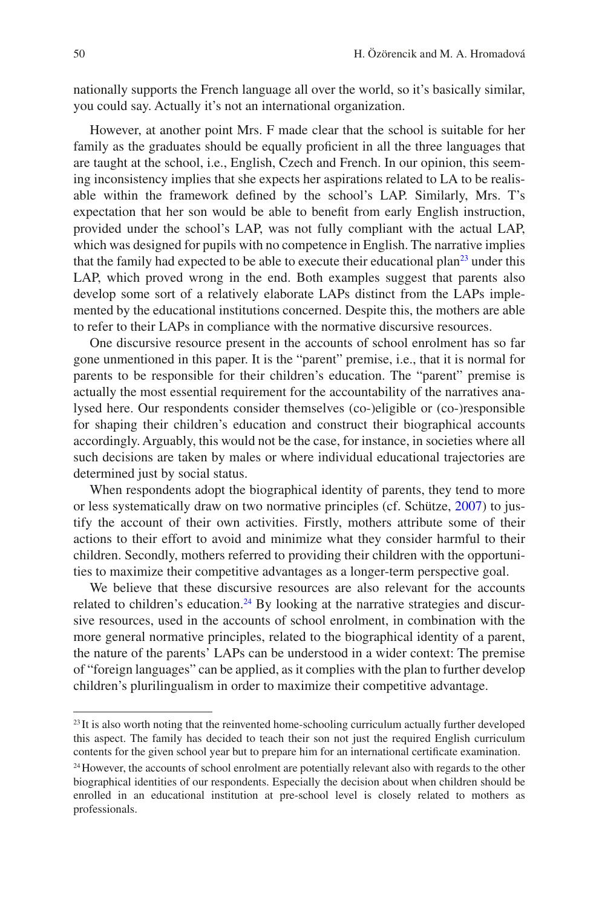nationally supports the French language all over the world, so it's basically similar, you could say. Actually it's not an international organization.

However, at another point Mrs. F made clear that the school is suitable for her family as the graduates should be equally proficient in all the three languages that are taught at the school, i.e., English, Czech and French. In our opinion, this seeming inconsistency implies that she expects her aspirations related to LA to be realisable within the framework defined by the school's LAP. Similarly, Mrs. T's expectation that her son would be able to benefit from early English instruction, provided under the school's LAP, was not fully compliant with the actual LAP, which was designed for pupils with no competence in English. The narrative implies that the family had expected to be able to execute their educational plan<sup>23</sup> under this LAP, which proved wrong in the end. Both examples suggest that parents also develop some sort of a relatively elaborate LAPs distinct from the LAPs implemented by the educational institutions concerned. Despite this, the mothers are able to refer to their LAPs in compliance with the normative discursive resources.

One discursive resource present in the accounts of school enrolment has so far gone unmentioned in this paper. It is the "parent" premise, i.e., that it is normal for parents to be responsible for their children's education. The "parent" premise is actually the most essential requirement for the accountability of the narratives analysed here. Our respondents consider themselves (co-)eligible or (co-)responsible for shaping their children's education and construct their biographical accounts accordingly. Arguably, this would not be the case, for instance, in societies where all such decisions are taken by males or where individual educational trajectories are determined just by social status.

When respondents adopt the biographical identity of parents, they tend to more or less systematically draw on two normative principles (cf. Schütze, [2007\)](#page-21-16) to justify the account of their own activities. Firstly, mothers attribute some of their actions to their effort to avoid and minimize what they consider harmful to their children. Secondly, mothers referred to providing their children with the opportunities to maximize their competitive advantages as a longer-term perspective goal.

We believe that these discursive resources are also relevant for the accounts related to children's education.<sup>24</sup> By looking at the narrative strategies and discursive resources, used in the accounts of school enrolment, in combination with the more general normative principles, related to the biographical identity of a parent, the nature of the parents' LAPs can be understood in a wider context: The premise of "foreign languages" can be applied, as it complies with the plan to further develop children's plurilingualism in order to maximize their competitive advantage.

<span id="page-17-0"></span><sup>&</sup>lt;sup>23</sup>It is also worth noting that the reinvented home-schooling curriculum actually further developed this aspect. The family has decided to teach their son not just the required English curriculum contents for the given school year but to prepare him for an international certificate examination.

<span id="page-17-1"></span><sup>&</sup>lt;sup>24</sup>However, the accounts of school enrolment are potentially relevant also with regards to the other biographical identities of our respondents. Especially the decision about when children should be enrolled in an educational institution at pre-school level is closely related to mothers as professionals.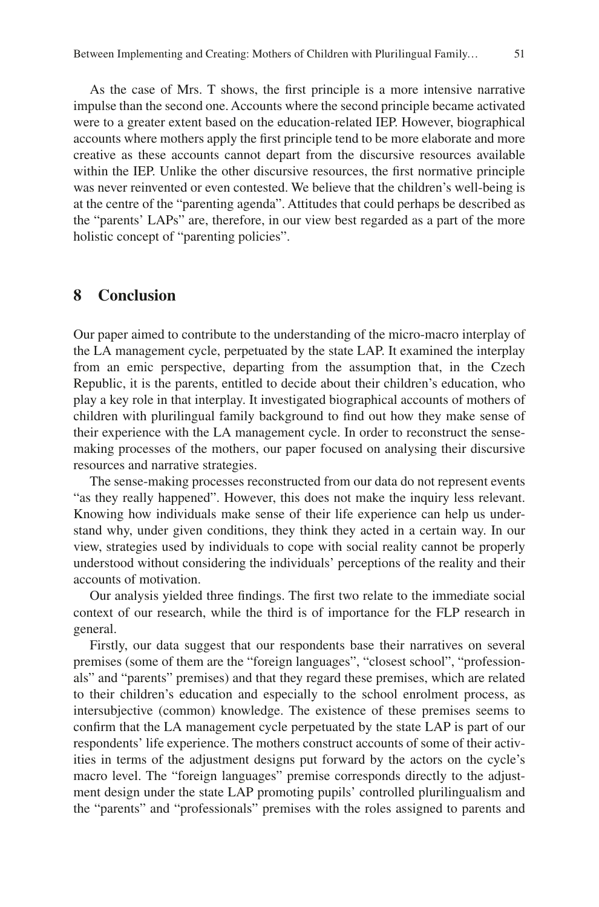As the case of Mrs. T shows, the first principle is a more intensive narrative impulse than the second one. Accounts where the second principle became activated were to a greater extent based on the education-related IEP. However, biographical accounts where mothers apply the first principle tend to be more elaborate and more creative as these accounts cannot depart from the discursive resources available within the IEP. Unlike the other discursive resources, the first normative principle was never reinvented or even contested. We believe that the children's well-being is at the centre of the "parenting agenda". Attitudes that could perhaps be described as the "parents' LAPs" are, therefore, in our view best regarded as a part of the more holistic concept of "parenting policies".

#### **8 Conclusion**

Our paper aimed to contribute to the understanding of the micro-macro interplay of the LA management cycle, perpetuated by the state LAP. It examined the interplay from an emic perspective, departing from the assumption that, in the Czech Republic, it is the parents, entitled to decide about their children's education, who play a key role in that interplay. It investigated biographical accounts of mothers of children with plurilingual family background to find out how they make sense of their experience with the LA management cycle. In order to reconstruct the sensemaking processes of the mothers, our paper focused on analysing their discursive resources and narrative strategies.

The sense-making processes reconstructed from our data do not represent events "as they really happened". However, this does not make the inquiry less relevant. Knowing how individuals make sense of their life experience can help us understand why, under given conditions, they think they acted in a certain way. In our view, strategies used by individuals to cope with social reality cannot be properly understood without considering the individuals' perceptions of the reality and their accounts of motivation.

Our analysis yielded three findings. The first two relate to the immediate social context of our research, while the third is of importance for the FLP research in general.

Firstly, our data suggest that our respondents base their narratives on several premises (some of them are the "foreign languages", "closest school", "professionals" and "parents" premises) and that they regard these premises, which are related to their children's education and especially to the school enrolment process, as intersubjective (common) knowledge. The existence of these premises seems to confirm that the LA management cycle perpetuated by the state LAP is part of our respondents' life experience. The mothers construct accounts of some of their activities in terms of the adjustment designs put forward by the actors on the cycle's macro level. The "foreign languages" premise corresponds directly to the adjustment design under the state LAP promoting pupils' controlled plurilingualism and the "parents" and "professionals" premises with the roles assigned to parents and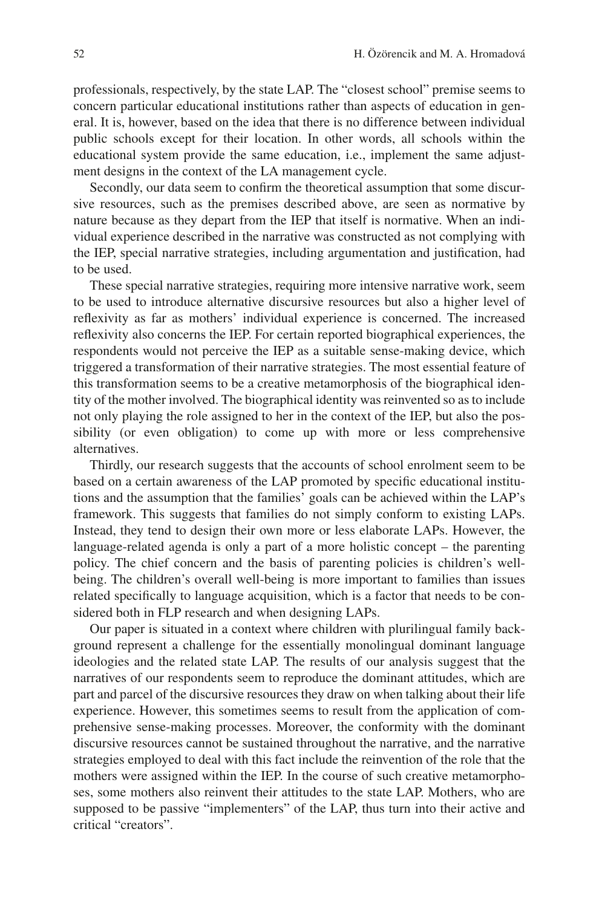professionals, respectively, by the state LAP. The "closest school" premise seems to concern particular educational institutions rather than aspects of education in general. It is, however, based on the idea that there is no difference between individual public schools except for their location. In other words, all schools within the educational system provide the same education, i.e., implement the same adjustment designs in the context of the LA management cycle.

Secondly, our data seem to confirm the theoretical assumption that some discursive resources, such as the premises described above, are seen as normative by nature because as they depart from the IEP that itself is normative. When an individual experience described in the narrative was constructed as not complying with the IEP, special narrative strategies, including argumentation and justification, had to be used.

These special narrative strategies, requiring more intensive narrative work, seem to be used to introduce alternative discursive resources but also a higher level of reflexivity as far as mothers' individual experience is concerned. The increased reflexivity also concerns the IEP. For certain reported biographical experiences, the respondents would not perceive the IEP as a suitable sense-making device, which triggered a transformation of their narrative strategies. The most essential feature of this transformation seems to be a creative metamorphosis of the biographical identity of the mother involved. The biographical identity was reinvented so as to include not only playing the role assigned to her in the context of the IEP, but also the possibility (or even obligation) to come up with more or less comprehensive alternatives.

Thirdly, our research suggests that the accounts of school enrolment seem to be based on a certain awareness of the LAP promoted by specific educational institutions and the assumption that the families' goals can be achieved within the LAP's framework. This suggests that families do not simply conform to existing LAPs. Instead, they tend to design their own more or less elaborate LAPs. However, the language-related agenda is only a part of a more holistic concept – the parenting policy. The chief concern and the basis of parenting policies is children's wellbeing. The children's overall well-being is more important to families than issues related specifically to language acquisition, which is a factor that needs to be considered both in FLP research and when designing LAPs.

Our paper is situated in a context where children with plurilingual family background represent a challenge for the essentially monolingual dominant language ideologies and the related state LAP. The results of our analysis suggest that the narratives of our respondents seem to reproduce the dominant attitudes, which are part and parcel of the discursive resources they draw on when talking about their life experience. However, this sometimes seems to result from the application of comprehensive sense-making processes. Moreover, the conformity with the dominant discursive resources cannot be sustained throughout the narrative, and the narrative strategies employed to deal with this fact include the reinvention of the role that the mothers were assigned within the IEP. In the course of such creative metamorphoses, some mothers also reinvent their attitudes to the state LAP. Mothers, who are supposed to be passive "implementers" of the LAP, thus turn into their active and critical "creators".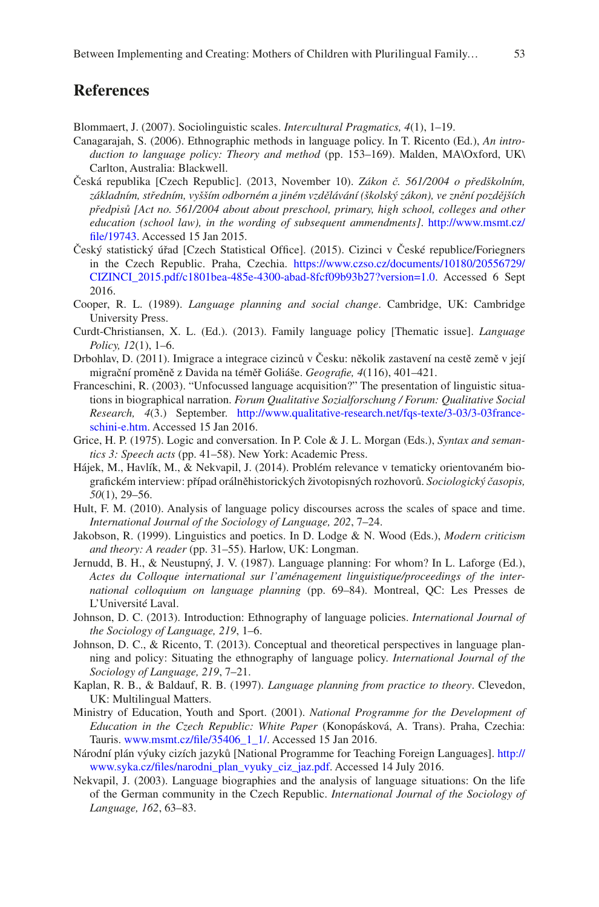# **References**

<span id="page-20-7"></span>Blommaert, J. (2007). Sociolinguistic scales. *Intercultural Pragmatics, 4*(1), 1–19.

- <span id="page-20-12"></span>Canagarajah, S. (2006). Ethnographic methods in language policy. In T. Ricento (Ed.), *An introduction to language policy: Theory and method* (pp. 153–169). Malden, MA\Oxford, UK\ Carlton, Australia: Blackwell.
- <span id="page-20-17"></span>Česká republika [Czech Republic]. (2013, November 10). *Zákon č. 561/2004 o předškolním, základním, středním, vyšším odborném a jiném vzdělávání (školský zákon), ve znění pozdějších předpisů [Act no. 561/2004 about about preschool, primary, high school, colleges and other education (school law), in the wording of subsequent ammendments]*. [http://www.msmt.cz/](http://www.msmt.cz/file/19743) [file/19743](http://www.msmt.cz/file/19743). Accessed 15 Jan 2015.
- <span id="page-20-4"></span>Český statistický úřad [Czech Statistical Office]. (2015). Cizinci v České republice/Foriegners in the Czech Republic. Praha, Czechia. [https://www.czso.cz/documents/10180/20556729/](https://www.czso.cz/documents/10180/20556729/CIZINCI_2015.pdf/c1801bea-485e-4300-abad-8fcf09b93b27?version=1.0) [CIZINCI\\_2015.pdf/c1801bea-485e-4300-abad-8fcf09b93b27?version=1.0](https://www.czso.cz/documents/10180/20556729/CIZINCI_2015.pdf/c1801bea-485e-4300-abad-8fcf09b93b27?version=1.0). Accessed 6 Sept 2016.
- <span id="page-20-2"></span>Cooper, R. L. (1989). *Language planning and social change*. Cambridge, UK: Cambridge University Press.
- <span id="page-20-13"></span>Curdt-Christiansen, X. L. (Ed.). (2013). Family language policy [Thematic issue]. *Language Policy, 12*(1), 1–6.
- <span id="page-20-1"></span>Drbohlav, D. (2011). Imigrace a integrace cizinců v Česku: několik zastavení na cestě země v její migrační proměně z Davida na téměř Goliáše. *Geografie, 4*(116), 401–421.
- <span id="page-20-16"></span>Franceschini, R. (2003). "Unfocussed language acquisition?" The presentation of linguistic situations in biographical narration. *Forum Qualitative Sozialforschung / Forum: Qualitative Social Research, 4*(3.) September. [http://www.qualitative-research.net/fqs-texte/3-03/3-03france](http://www.qualitative-research.net/fqs-texte/3-03/3-03franceschini-e.htm)[schini-e.htm](http://www.qualitative-research.net/fqs-texte/3-03/3-03franceschini-e.htm). Accessed 15 Jan 2016.
- <span id="page-20-14"></span>Grice, H. P. (1975). Logic and conversation. In P. Cole & J. L. Morgan (Eds.), *Syntax and semantics 3: Speech acts* (pp. 41–58). New York: Academic Press.
- <span id="page-20-15"></span>Hájek, M., Havlík, M., & Nekvapil, J. (2014). Problém relevance v tematicky orientovaném biografickém interview: případ orálněhistorických životopisných rozhovorů. *Sociologický časopis, 50*(1), 29–56.
- <span id="page-20-9"></span>Hult, F. M. (2010). Analysis of language policy discourses across the scales of space and time. *International Journal of the Sociology of Language, 202*, 7–24.
- <span id="page-20-11"></span>Jakobson, R. (1999). Linguistics and poetics. In D. Lodge & N. Wood (Eds.), *Modern criticism and theory: A reader* (pp. 31–55). Harlow, UK: Longman.
- <span id="page-20-10"></span>Jernudd, B. H., & Neustupný, J. V. (1987). Language planning: For whom? In L. Laforge (Ed.), *Actes du Colloque international sur l'aménagement linguistique/proceedings of the international colloquium on language planning* (pp. 69–84). Montreal, QC: Les Presses de L'Université Laval.
- <span id="page-20-6"></span>Johnson, D. C. (2013). Introduction: Ethnography of language policies. *International Journal of the Sociology of Language, 219*, 1–6.
- <span id="page-20-8"></span>Johnson, D. C., & Ricento, T. (2013). Conceptual and theoretical perspectives in language planning and policy: Situating the ethnography of language policy. *International Journal of the Sociology of Language, 219*, 7–21.
- <span id="page-20-3"></span>Kaplan, R. B., & Baldauf, R. B. (1997). *Language planning from practice to theory*. Clevedon, UK: Multilingual Matters.
- <span id="page-20-5"></span>Ministry of Education, Youth and Sport. (2001). *National Programme for the Development of Education in the Czech Republic: White Paper* (Konopásková, A. Trans). Praha, Czechia: Tauris. [www.msmt.cz/file/35406\\_1\\_1/.](http://www.msmt.cz/file/35406_1_1) Accessed 15 Jan 2016.
- Národní plán výuky cizích jazyků [National Programme for Teaching Foreign Languages]. [http://](http://www.syka.cz/files/narodni_plan_vyuky_ciz_jaz.pdf) [www.syka.cz/files/narodni\\_plan\\_vyuky\\_ciz\\_jaz.pdf.](http://www.syka.cz/files/narodni_plan_vyuky_ciz_jaz.pdf) Accessed 14 July 2016.
- <span id="page-20-0"></span>Nekvapil, J. (2003). Language biographies and the analysis of language situations: On the life of the German community in the Czech Republic. *International Journal of the Sociology of Language, 162*, 63–83.